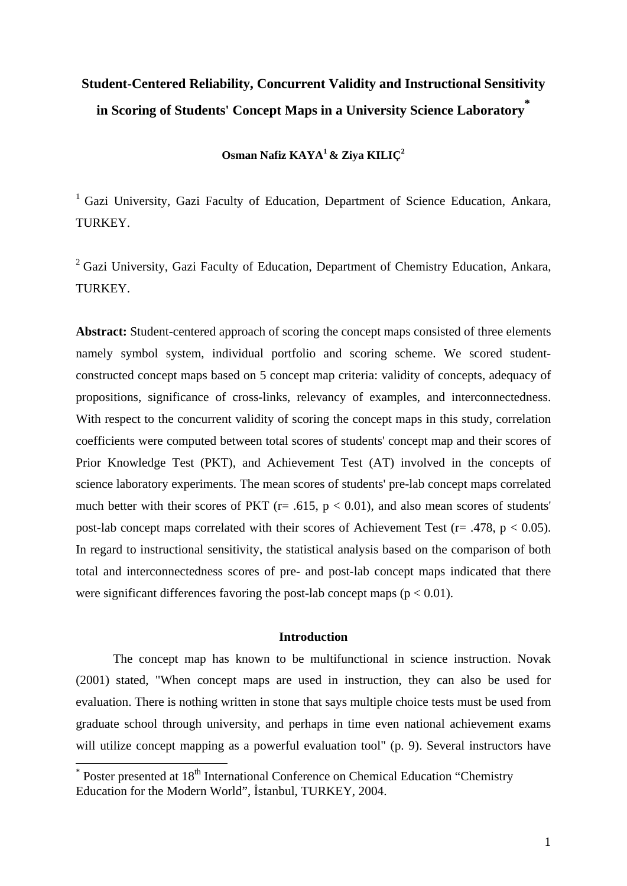# **Student-Centered Reliability, Concurrent Validity and Instructional Sensitivity in Scoring of Students' Concept Maps in a University Science Laboratory \***

**Osman Nafiz KAYA1 & Ziya KILIÇ2** 

<sup>1</sup> Gazi University, Gazi Faculty of Education, Department of Science Education, Ankara, TURKEY.

<sup>2</sup> Gazi University, Gazi Faculty of Education, Department of Chemistry Education, Ankara, TURKEY.

**Abstract:** Student-centered approach of scoring the concept maps consisted of three elements namely symbol system, individual portfolio and scoring scheme. We scored studentconstructed concept maps based on 5 concept map criteria: validity of concepts, adequacy of propositions, significance of cross-links, relevancy of examples, and interconnectedness. With respect to the concurrent validity of scoring the concept maps in this study, correlation coefficients were computed between total scores of students' concept map and their scores of Prior Knowledge Test (PKT), and Achievement Test (AT) involved in the concepts of science laboratory experiments. The mean scores of students' pre-lab concept maps correlated much better with their scores of PKT ( $r = .615$ ,  $p < 0.01$ ), and also mean scores of students' post-lab concept maps correlated with their scores of Achievement Test ( $r = .478$ ,  $p < 0.05$ ). In regard to instructional sensitivity, the statistical analysis based on the comparison of both total and interconnectedness scores of pre- and post-lab concept maps indicated that there were significant differences favoring the post-lab concept maps ( $p < 0.01$ ).

#### **Introduction**

The concept map has known to be multifunctional in science instruction. Novak (2001) stated, "When concept maps are used in instruction, they can also be used for evaluation. There is nothing written in stone that says multiple choice tests must be used from graduate school through university, and perhaps in time even national achievement exams will utilize concept mapping as a powerful evaluation tool" (p. 9). Several instructors have

1

<sup>\*</sup> Poster presented at 18<sup>th</sup> International Conference on Chemical Education "Chemistry" Education for the Modern World", İstanbul, TURKEY, 2004.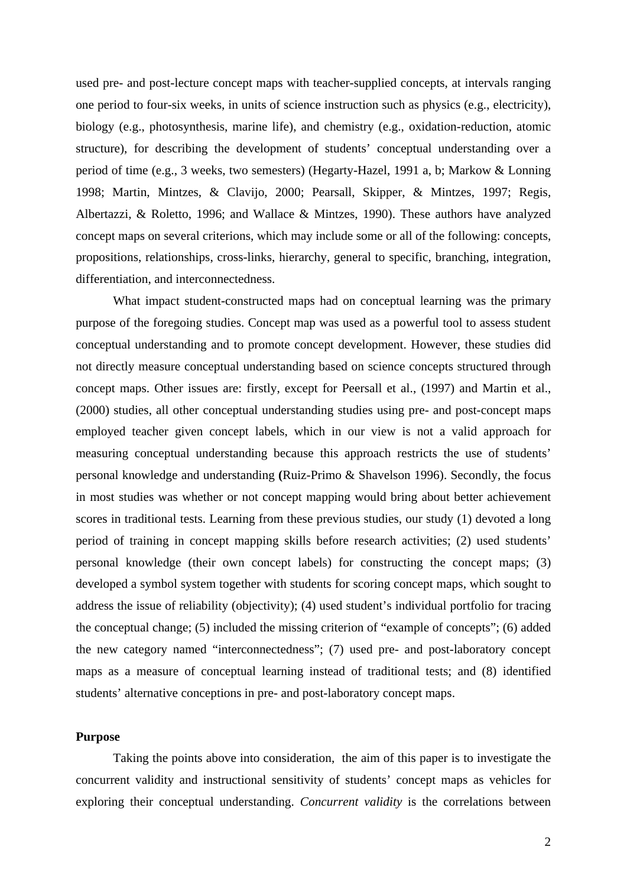used pre- and post-lecture concept maps with teacher-supplied concepts, at intervals ranging one period to four-six weeks, in units of science instruction such as physics (e.g., electricity), biology (e.g., photosynthesis, marine life), and chemistry (e.g., oxidation-reduction, atomic structure), for describing the development of students' conceptual understanding over a period of time (e.g., 3 weeks, two semesters) (Hegarty-Hazel, 1991 a, b; Markow & Lonning 1998; Martin, Mintzes, & Clavijo, 2000; Pearsall, Skipper, & Mintzes, 1997; Regis, Albertazzi, & Roletto, 1996; and Wallace & Mintzes, 1990). These authors have analyzed concept maps on several criterions, which may include some or all of the following: concepts, propositions, relationships, cross-links, hierarchy, general to specific, branching, integration, differentiation, and interconnectedness.

What impact student-constructed maps had on conceptual learning was the primary purpose of the foregoing studies. Concept map was used as a powerful tool to assess student conceptual understanding and to promote concept development. However, these studies did not directly measure conceptual understanding based on science concepts structured through concept maps. Other issues are: firstly, except for Peersall et al., (1997) and Martin et al., (2000) studies, all other conceptual understanding studies using pre- and post-concept maps employed teacher given concept labels, which in our view is not a valid approach for measuring conceptual understanding because this approach restricts the use of students' personal knowledge and understanding **(**Ruiz-Primo & Shavelson 1996). Secondly, the focus in most studies was whether or not concept mapping would bring about better achievement scores in traditional tests. Learning from these previous studies, our study (1) devoted a long period of training in concept mapping skills before research activities; (2) used students' personal knowledge (their own concept labels) for constructing the concept maps; (3) developed a symbol system together with students for scoring concept maps, which sought to address the issue of reliability (objectivity); (4) used student's individual portfolio for tracing the conceptual change; (5) included the missing criterion of "example of concepts"; (6) added the new category named "interconnectedness"; (7) used pre- and post-laboratory concept maps as a measure of conceptual learning instead of traditional tests; and (8) identified students' alternative conceptions in pre- and post-laboratory concept maps.

# **Purpose**

Taking the points above into consideration, the aim of this paper is to investigate the concurrent validity and instructional sensitivity of students' concept maps as vehicles for exploring their conceptual understanding. *Concurrent validity* is the correlations between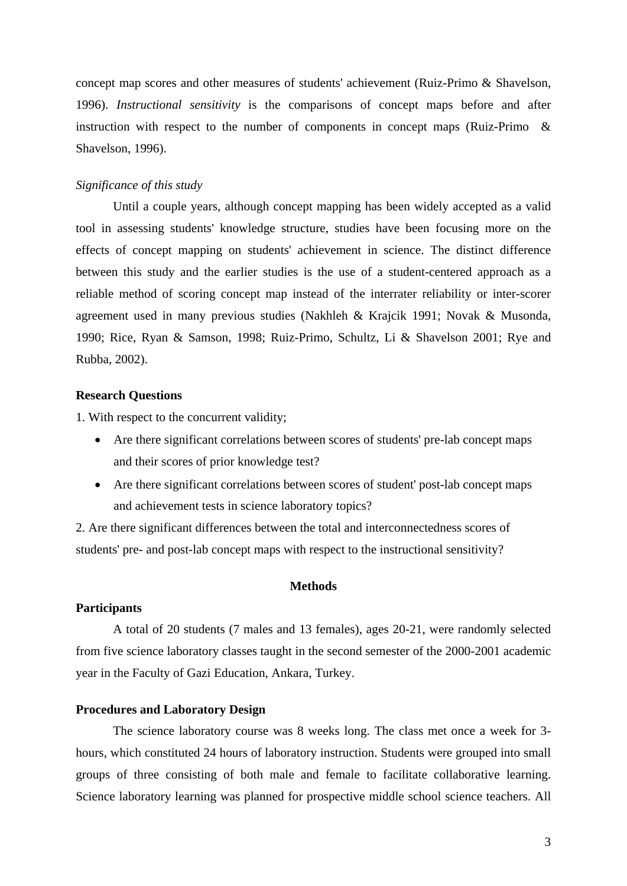concept map scores and other measures of students' achievement (Ruiz-Primo & Shavelson, 1996). *Instructional sensitivity* is the comparisons of concept maps before and after instruction with respect to the number of components in concept maps (Ruiz-Primo & Shavelson, 1996).

#### *Significance of this study*

Until a couple years, although concept mapping has been widely accepted as a valid tool in assessing students' knowledge structure, studies have been focusing more on the effects of concept mapping on students' achievement in science. The distinct difference between this study and the earlier studies is the use of a student-centered approach as a reliable method of scoring concept map instead of the interrater reliability or inter-scorer agreement used in many previous studies (Nakhleh & Krajcik 1991; Novak & Musonda, 1990; Rice, Ryan & Samson, 1998; Ruiz-Primo, Schultz, Li & Shavelson 2001; Rye and Rubba, 2002).

## **Research Questions**

1. With respect to the concurrent validity;

- Are there significant correlations between scores of students' pre-lab concept maps and their scores of prior knowledge test?
- Are there significant correlations between scores of student' post-lab concept maps and achievement tests in science laboratory topics?

2. Are there significant differences between the total and interconnectedness scores of students' pre- and post-lab concept maps with respect to the instructional sensitivity?

## **Methods**

### **Participants**

A total of 20 students (7 males and 13 females), ages 20-21, were randomly selected from five science laboratory classes taught in the second semester of the 2000-2001 academic year in the Faculty of Gazi Education, Ankara, Turkey.

#### **Procedures and Laboratory Design**

The science laboratory course was 8 weeks long. The class met once a week for 3 hours, which constituted 24 hours of laboratory instruction. Students were grouped into small groups of three consisting of both male and female to facilitate collaborative learning. Science laboratory learning was planned for prospective middle school science teachers. All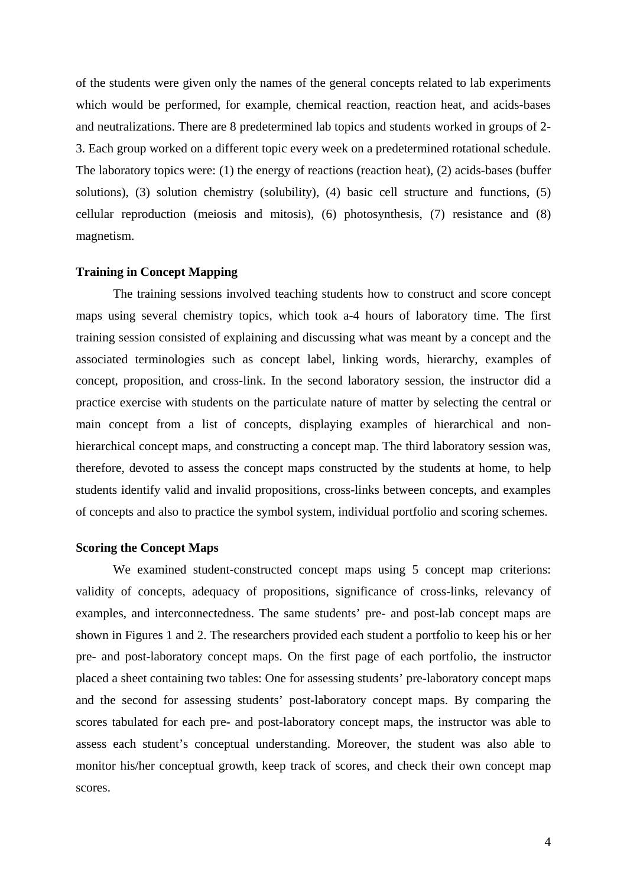of the students were given only the names of the general concepts related to lab experiments which would be performed, for example, chemical reaction, reaction heat, and acids-bases and neutralizations. There are 8 predetermined lab topics and students worked in groups of 2- 3. Each group worked on a different topic every week on a predetermined rotational schedule. The laboratory topics were: (1) the energy of reactions (reaction heat), (2) acids-bases (buffer solutions), (3) solution chemistry (solubility), (4) basic cell structure and functions, (5) cellular reproduction (meiosis and mitosis), (6) photosynthesis, (7) resistance and (8) magnetism.

## **Training in Concept Mapping**

The training sessions involved teaching students how to construct and score concept maps using several chemistry topics, which took a-4 hours of laboratory time. The first training session consisted of explaining and discussing what was meant by a concept and the associated terminologies such as concept label, linking words, hierarchy, examples of concept, proposition, and cross-link. In the second laboratory session, the instructor did a practice exercise with students on the particulate nature of matter by selecting the central or main concept from a list of concepts, displaying examples of hierarchical and nonhierarchical concept maps, and constructing a concept map. The third laboratory session was, therefore, devoted to assess the concept maps constructed by the students at home, to help students identify valid and invalid propositions, cross-links between concepts, and examples of concepts and also to practice the symbol system, individual portfolio and scoring schemes.

## **Scoring the Concept Maps**

We examined student-constructed concept maps using 5 concept map criterions: validity of concepts, adequacy of propositions, significance of cross-links, relevancy of examples, and interconnectedness. The same students' pre- and post-lab concept maps are shown in Figures 1 and 2. The researchers provided each student a portfolio to keep his or her pre- and post-laboratory concept maps. On the first page of each portfolio, the instructor placed a sheet containing two tables: One for assessing students' pre-laboratory concept maps and the second for assessing students' post-laboratory concept maps. By comparing the scores tabulated for each pre- and post-laboratory concept maps, the instructor was able to assess each student's conceptual understanding. Moreover, the student was also able to monitor his/her conceptual growth, keep track of scores, and check their own concept map scores.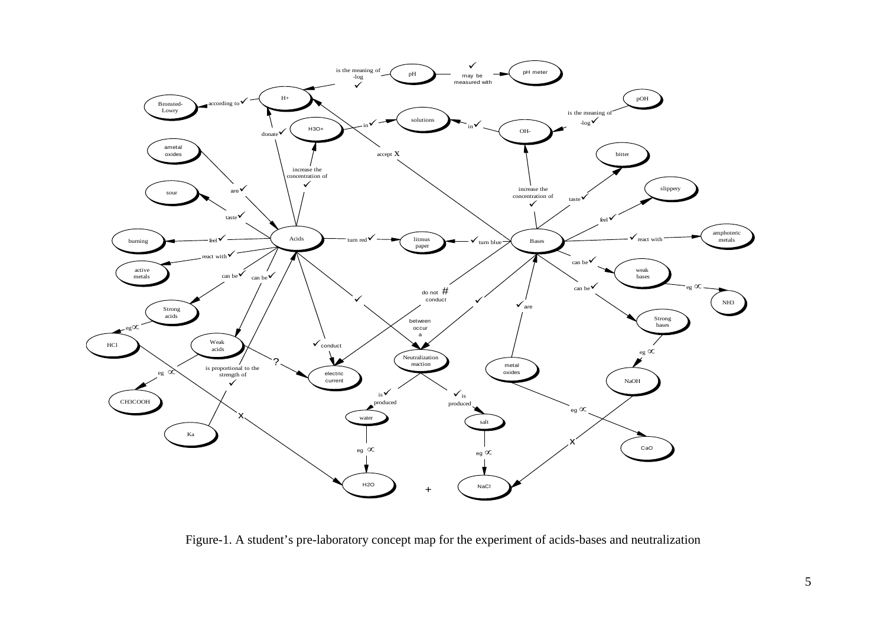

Figure-1. A student's pre-laboratory concept map for the experiment of acids-bases and neutralization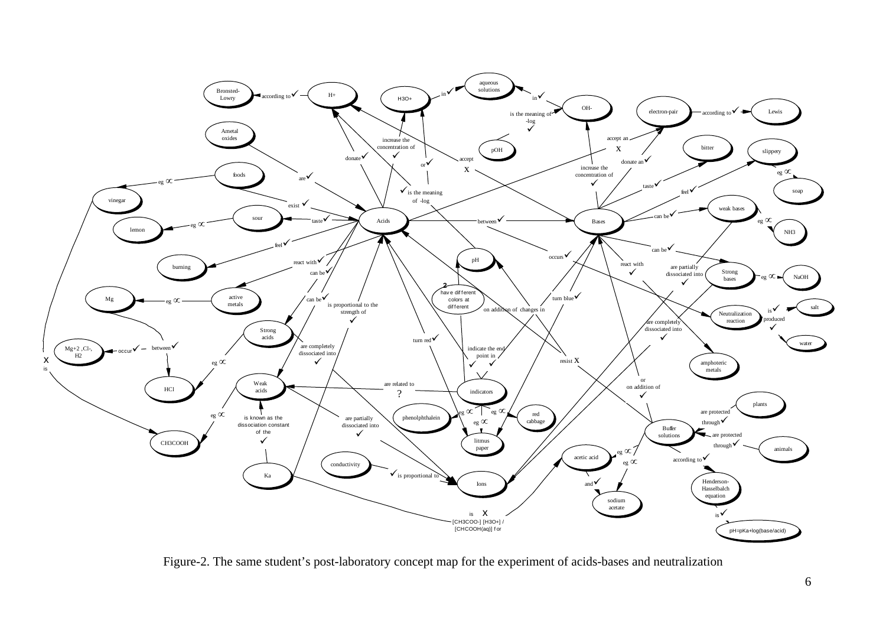

Figure-2. The same student's post-laboratory concept map for the experiment of acids-bases and neutralization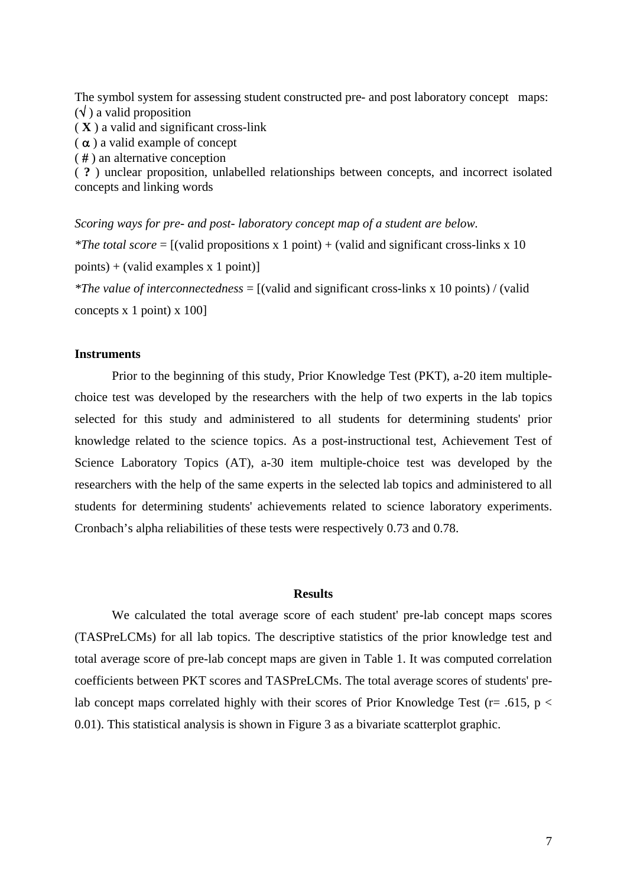The symbol system for assessing student constructed pre- and post laboratory concept maps:  $(\forall)$  a valid proposition

( **X** ) a valid and significant cross-link

 $(\alpha)$  a valid example of concept

( # ) an alternative conception

( **?** ) unclear proposition, unlabelled relationships between concepts, and incorrect isolated concepts and linking words

*Scoring ways for pre- and post- laboratory concept map of a student are below. \*The total score* = [(valid propositions x 1 point) + (valid and significant cross-links x 10 points) + (valid examples x 1 point)]

*\*The value of interconnectedness* = [(valid and significant cross-links x 10 points) / (valid concepts x 1 point) x 100]

### **Instruments**

Prior to the beginning of this study, Prior Knowledge Test (PKT), a-20 item multiplechoice test was developed by the researchers with the help of two experts in the lab topics selected for this study and administered to all students for determining students' prior knowledge related to the science topics. As a post-instructional test, Achievement Test of Science Laboratory Topics (AT), a-30 item multiple-choice test was developed by the researchers with the help of the same experts in the selected lab topics and administered to all students for determining students' achievements related to science laboratory experiments. Cronbach's alpha reliabilities of these tests were respectively 0.73 and 0.78.

#### **Results**

We calculated the total average score of each student' pre-lab concept maps scores (TASPreLCMs) for all lab topics. The descriptive statistics of the prior knowledge test and total average score of pre-lab concept maps are given in Table 1. It was computed correlation coefficients between PKT scores and TASPreLCMs. The total average scores of students' prelab concept maps correlated highly with their scores of Prior Knowledge Test ( $r = .615$ ,  $p <$ 0.01). This statistical analysis is shown in Figure 3 as a bivariate scatterplot graphic.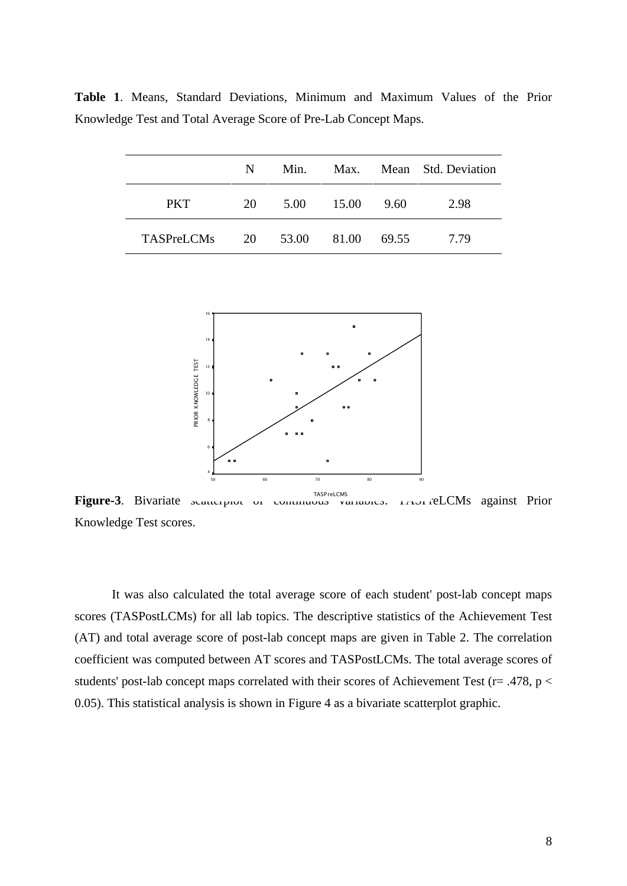|                                 | N  | Min. | Max.  |      | Mean Std. Deviation |
|---------------------------------|----|------|-------|------|---------------------|
| <b>PKT</b>                      | 20 | 5.00 | 15.00 | 9.60 | 2.98                |
| TASPreLCMs 20 53.00 81.00 69.55 |    |      |       |      | 7.79                |

**Table 1**. Means, Standard Deviations, Minimum and Maximum Values of the Prior Knowledge Test and Total Average Score of Pre-Lab Concept Maps.



Figure-3. Bivariate scatterplot of continuous variables. TASP relations Knowledge Test scores.

It was also calculated the total average score of each student' post-lab concept maps scores (TASPostLCMs) for all lab topics. The descriptive statistics of the Achievement Test (AT) and total average score of post-lab concept maps are given in Table 2. The correlation coefficient was computed between AT scores and TASPostLCMs. The total average scores of students' post-lab concept maps correlated with their scores of Achievement Test (r= .478, p < 0.05). This statistical analysis is shown in Figure 4 as a bivariate scatterplot graphic.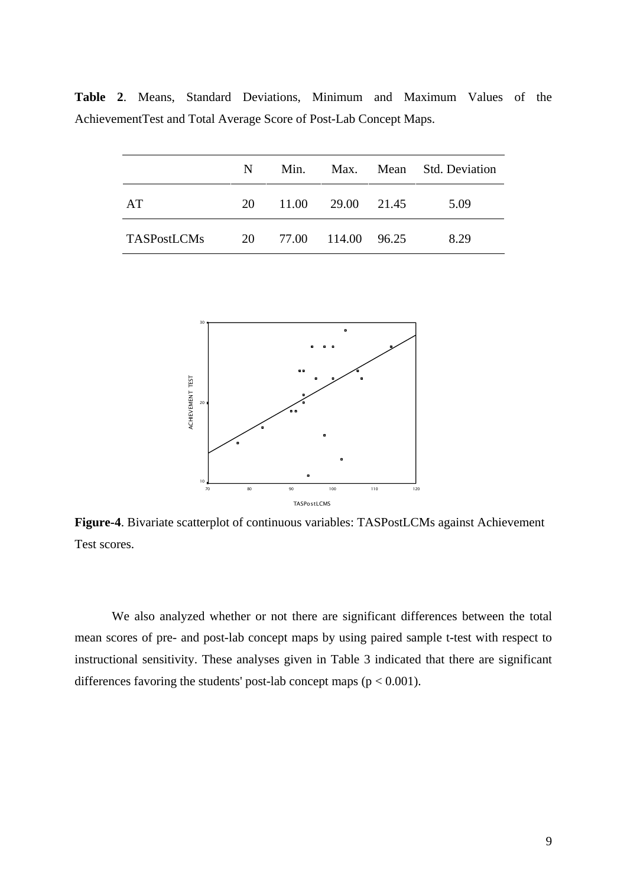**Table 2**. Means, Standard Deviations, Minimum and Maximum Values of the AchievementTest and Total Average Score of Post-Lab Concept Maps.

|                    | N. | Min.                  |                   | Max. Mean Std. Deviation |
|--------------------|----|-----------------------|-------------------|--------------------------|
| AT                 | 20 |                       | 11.00 29.00 21.45 | 5.09                     |
| <b>TASPostLCMs</b> |    | 20 77.00 114.00 96.25 |                   | 8.29                     |



**Figure-4**. Bivariate scatterplot of continuous variables: TASPostLCMs against Achievement Test scores.

We also analyzed whether or not there are significant differences between the total mean scores of pre- and post-lab concept maps by using paired sample t-test with respect to instructional sensitivity. These analyses given in Table 3 indicated that there are significant differences favoring the students' post-lab concept maps ( $p < 0.001$ ).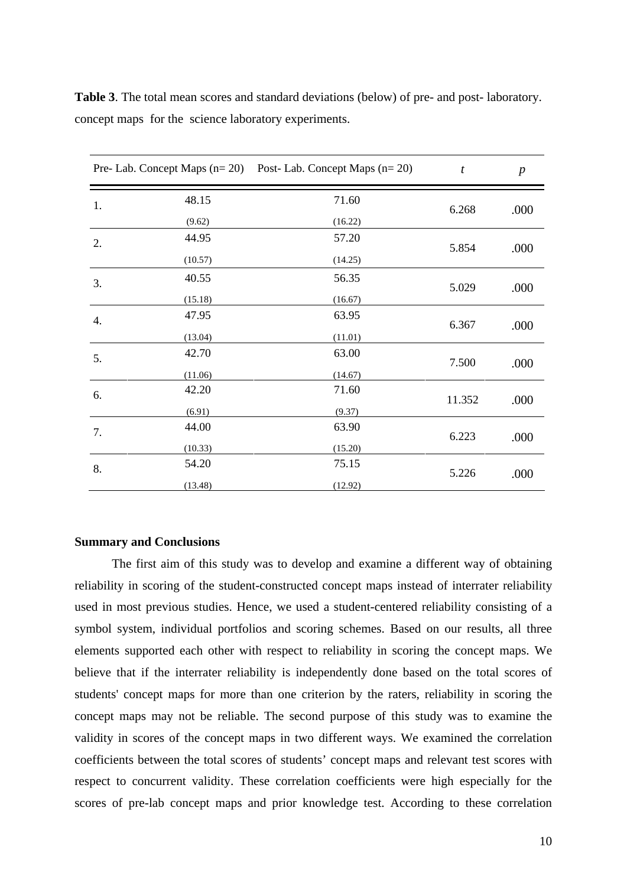|    |         | Pre- Lab. Concept Maps $(n=20)$ Post- Lab. Concept Maps $(n=20)$ | $\boldsymbol{t}$ | $\boldsymbol{p}$ |
|----|---------|------------------------------------------------------------------|------------------|------------------|
| 1. | 48.15   | 71.60                                                            | 6.268            |                  |
|    | (9.62)  | (16.22)                                                          |                  | .000             |
| 2. | 44.95   | 57.20                                                            | 5.854            | .000             |
|    | (10.57) | (14.25)                                                          |                  |                  |
| 3. | 40.55   | 56.35                                                            | 5.029            | .000             |
|    | (15.18) | (16.67)                                                          |                  |                  |
| 4. | 47.95   | 63.95                                                            | 6.367            | .000             |
|    | (13.04) | (11.01)                                                          |                  |                  |
| 5. | 42.70   | 63.00                                                            | 7.500            | .000             |
|    | (11.06) | (14.67)                                                          |                  |                  |
| 6. | 42.20   | 71.60                                                            | 11.352           | .000             |
|    | (6.91)  | (9.37)                                                           |                  |                  |
| 7. | 44.00   | 63.90                                                            |                  | .000             |
|    | (10.33) | (15.20)                                                          | 6.223            |                  |
| 8. | 54.20   | 75.15                                                            | 5.226            | .000             |
|    | (13.48) | (12.92)                                                          |                  |                  |

**Table 3**. The total mean scores and standard deviations (below) of pre- and post- laboratory. concept maps for the science laboratory experiments.

## **Summary and Conclusions**

The first aim of this study was to develop and examine a different way of obtaining reliability in scoring of the student-constructed concept maps instead of interrater reliability used in most previous studies. Hence, we used a student-centered reliability consisting of a symbol system, individual portfolios and scoring schemes. Based on our results, all three elements supported each other with respect to reliability in scoring the concept maps. We believe that if the interrater reliability is independently done based on the total scores of students' concept maps for more than one criterion by the raters, reliability in scoring the concept maps may not be reliable. The second purpose of this study was to examine the validity in scores of the concept maps in two different ways. We examined the correlation coefficients between the total scores of students' concept maps and relevant test scores with respect to concurrent validity. These correlation coefficients were high especially for the scores of pre-lab concept maps and prior knowledge test. According to these correlation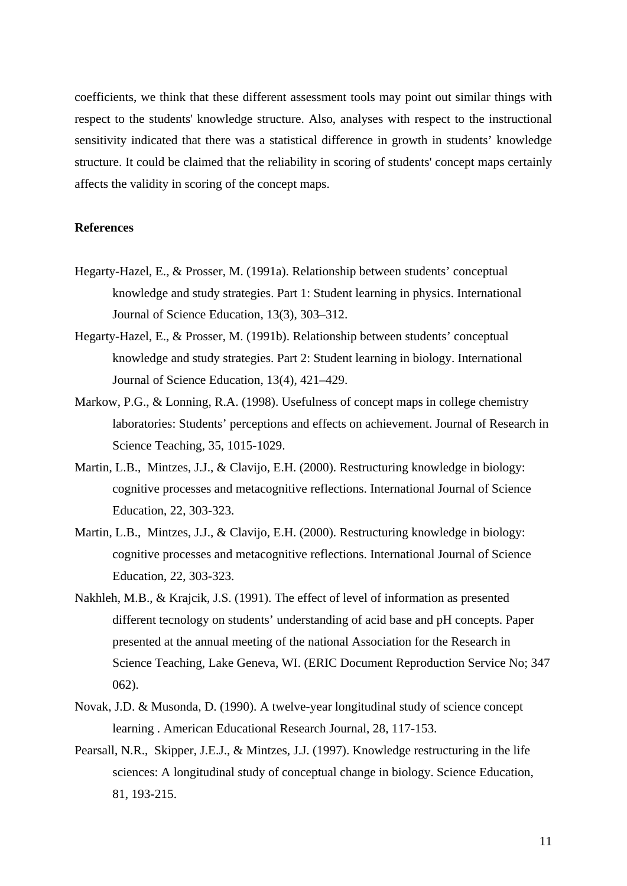coefficients, we think that these different assessment tools may point out similar things with respect to the students' knowledge structure. Also, analyses with respect to the instructional sensitivity indicated that there was a statistical difference in growth in students' knowledge structure. It could be claimed that the reliability in scoring of students' concept maps certainly affects the validity in scoring of the concept maps.

# **References**

- Hegarty-Hazel, E., & Prosser, M. (1991a). Relationship between students' conceptual knowledge and study strategies. Part 1: Student learning in physics. International Journal of Science Education, 13(3), 303–312.
- Hegarty-Hazel, E., & Prosser, M. (1991b). Relationship between students' conceptual knowledge and study strategies. Part 2: Student learning in biology. International Journal of Science Education, 13(4), 421–429.
- Markow, P.G., & Lonning, R.A. (1998). Usefulness of concept maps in college chemistry laboratories: Students' perceptions and effects on achievement. Journal of Research in Science Teaching, 35, 1015-1029.
- Martin, L.B., Mintzes, J.J., & Clavijo, E.H. (2000). Restructuring knowledge in biology: cognitive processes and metacognitive reflections. International Journal of Science Education, 22, 303-323.
- Martin, L.B., Mintzes, J.J., & Clavijo, E.H. (2000). Restructuring knowledge in biology: cognitive processes and metacognitive reflections. International Journal of Science Education, 22, 303-323.
- Nakhleh, M.B., & Krajcik, J.S. (1991). The effect of level of information as presented different tecnology on students' understanding of acid base and pH concepts. Paper presented at the annual meeting of the national Association for the Research in Science Teaching, Lake Geneva, WI. (ERIC Document Reproduction Service No; 347 062).
- Novak, J.D. & Musonda, D. (1990). A twelve-year longitudinal study of science concept learning . American Educational Research Journal, 28, 117-153.
- Pearsall, N.R., Skipper, J.E.J., & Mintzes, J.J. (1997). Knowledge restructuring in the life sciences: A longitudinal study of conceptual change in biology. Science Education, 81, 193-215.